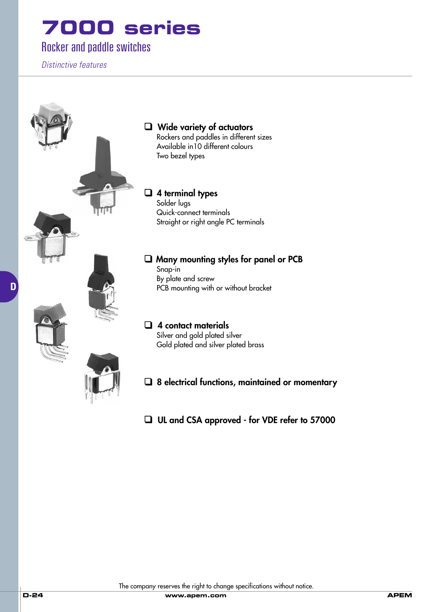#### Rocker and paddle switches

*Distinctive features*

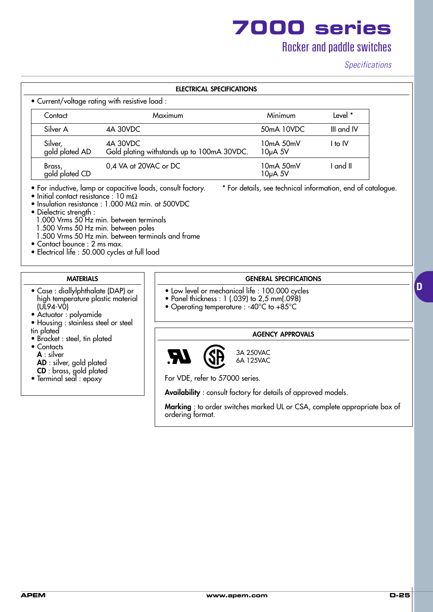### Rocker and paddle switches

#### *Specifications*

|                           | • Current/voltage rating with resistive load :         |                          |            |
|---------------------------|--------------------------------------------------------|--------------------------|------------|
| Contact                   | Maximum                                                | Minimum                  | Level *    |
| Silver A                  | 4A 30VDC                                               | 50mA 10VDC               | III and IV |
| Silver,<br>gold plated AD | 4A 30VDC<br>Gold plating withstands up to 100mA 30VDC. | $10mA$ 50mV<br>$10µA$ 5V | I to IV    |
| Brass,<br>gold plated CD  | 0,4 VA at 20VAC or DC                                  | $10mA$ 50mV<br>$10µA$ 5V | I and II   |

- Initial contact resistance : 10 m $\Omega$
- Insulation resistance : 1.000 MΩ min. at 500VDC
- Dielectric strength :
	- 1.000 Vrms 50 Hz min. between terminals
	- 1.500 Vrms 50 Hz min. between poles
	- 1.500 Vrms 50 Hz min. between terminals and frame
- Contact bounce : 2 ms max.
- Electrical life : 50.000 cycles at full load

#### **MATERIALS**

- Case : diallylphthalate (DAP) or high temperature plastic material (UL94-V0)
- Actuator : polyamide
- Housing : stainless steel or steel tin plated
- Bracket : steel, tin plated
- Contacts
	- **A** : silver
	- **AD** : silver, gold plated
	- **CD** : brass, gold plated
- Terminal seal : epoxy

#### **GENERAL SPECIFICATIONS**

- Low level or mechanical life : 100.000 cycles
- Panel thickness : 1 (.039) to 2,5 mm(.098)
- Operating temperature : -40°C to +85°C

#### **AGENCY APPROVALS**



For VDE, refer to 57000 series.

**Availability** : consult factory for details of approved models.

**Marking** : to order switches marked UL or CSA, complete appropriate box of ordering format.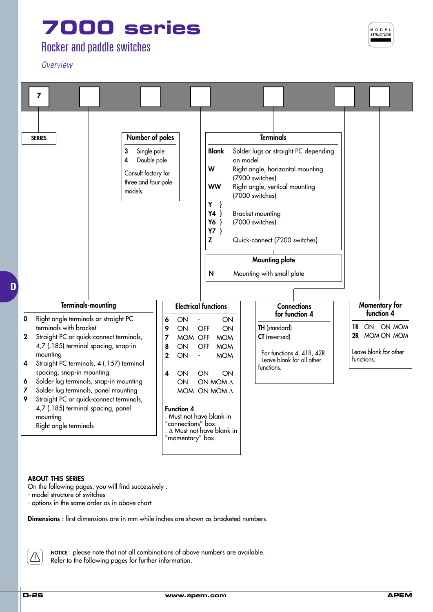#### Rocker and paddle switches

*Overview*



#### **ABOUT THIS SERIES**

On the following pages, you will find successively :

- model structure of switches
- options in the same order as in above chart

**Dimensions** : first dimensions are in mm while inches are shown as bracketed numbers.



**NOTICE** : please note that not all combinations of above numbers are available. Refer to the following pages for further information.

M O D E I --<br>STRUCTUF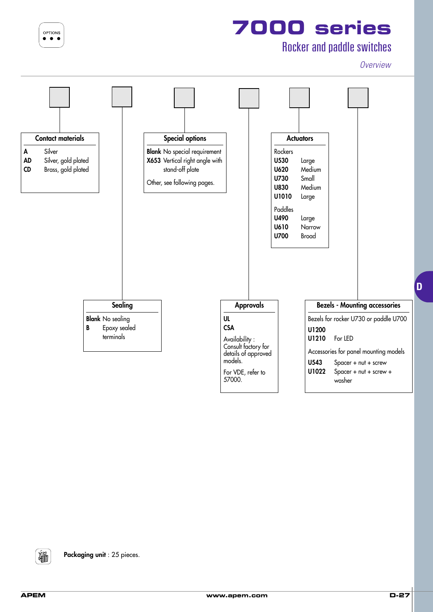OPTIONS  $\bullet$ 

# **7000 series**

### Rocker and paddle switches

*Overview*



淄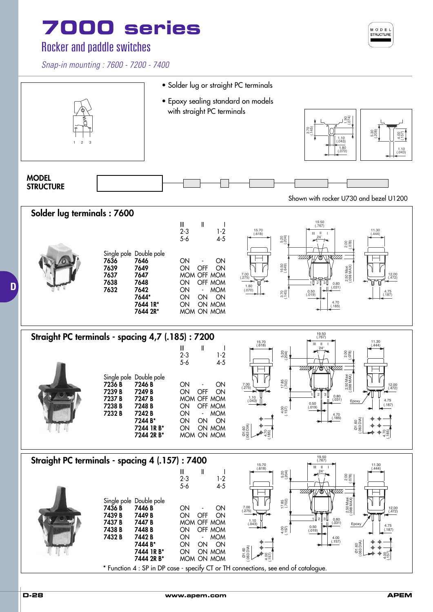#### Rocker and paddle switches

*Snap-in mounting : 7600 - 7200 - 7400*



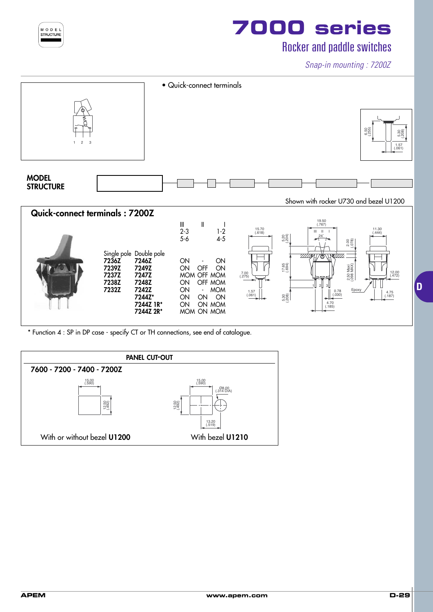

### Rocker and paddle switches

*Snap-in mounting : 7200Z*



\* Function 4 : SP in DP case - specify CT or TH connections, see end of catalogue.

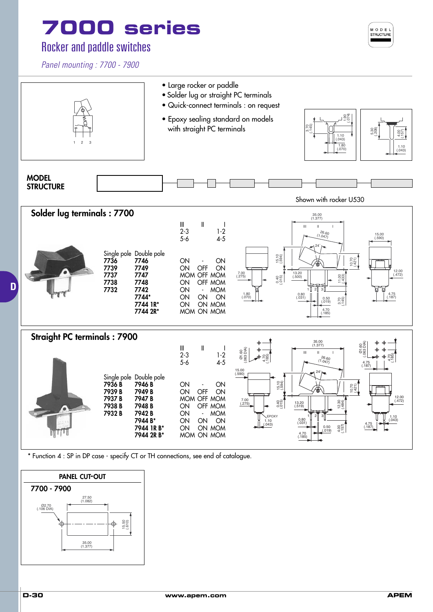#### Rocker and paddle switches

*Panel mounting : 7700 - 7900*





\* Function 4 : SP in DP case - specify CT or TH connections, see end of catalogue.

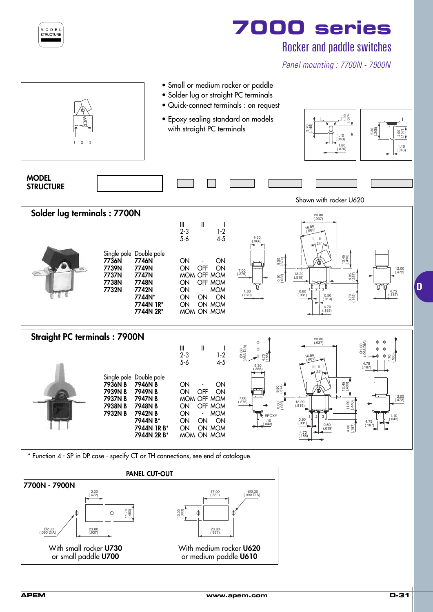

#### Rocker and paddle switches

*Panel mounting : 7700N - 7900N*



\* Function 4 : SP in DP case - specify CT or TH connections, see end of catalogue.

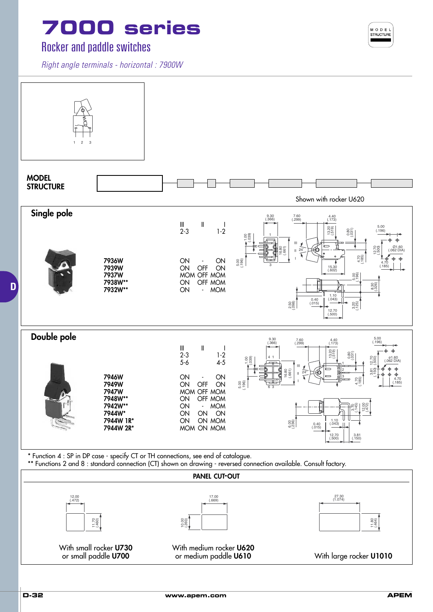#### Rocker and paddle switches

*Right angle terminals - horizontal : 7900W*



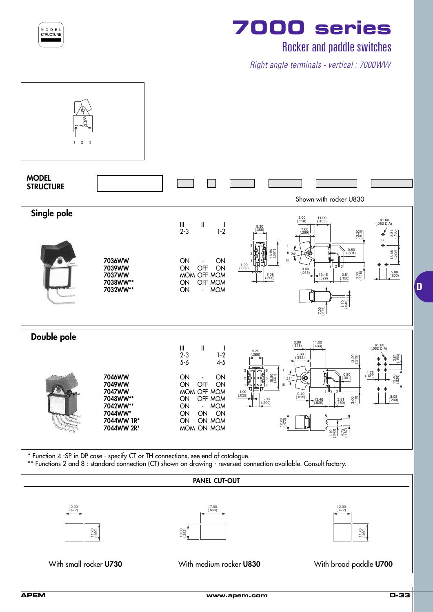

### Rocker and paddle switches

*Right angle terminals - vertical : 7000WW*



\* Function 4 :SP in DP case - specify CT or TH connections, see end of catalogue.

\*\* Functions 2 and 8 : standard connection (CT) shown on drawing - reversed connection available. Consult factory.

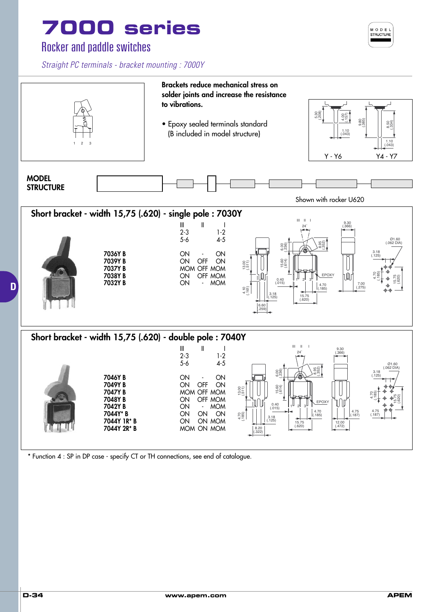#### Rocker and paddle switches

*Straight PC terminals - bracket mounting : 7000Y*



\* Function 4 : SP in DP case - specify CT or TH connections, see end of catalogue.

MODEL STRUCTURE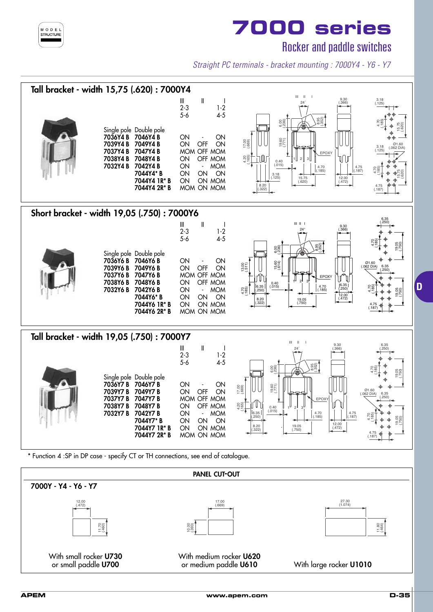

Rocker and paddle switches

*Straight PC terminals - bracket mounting : 7000Y4 - Y6 - Y7*



With small rocker **U730** With medium rocker **U620** or small paddle **U700** or medium paddle **U610** With large rocker **U1010**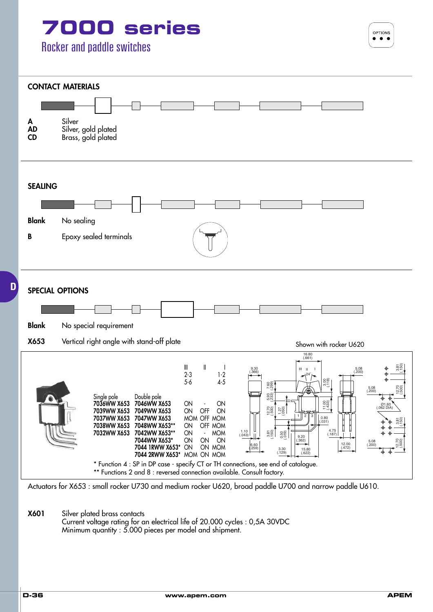OPTIONS



Actuators for X653 : small rocker U730 and medium rocker U620, broad paddle U700 and narrow paddle U610.

**X601** Silver plated brass contacts Current voltage rating for an electrical life of 20.000 cycles : 0,5A 30VDC Minimum quantity : 5.000 pieces per model and shipment.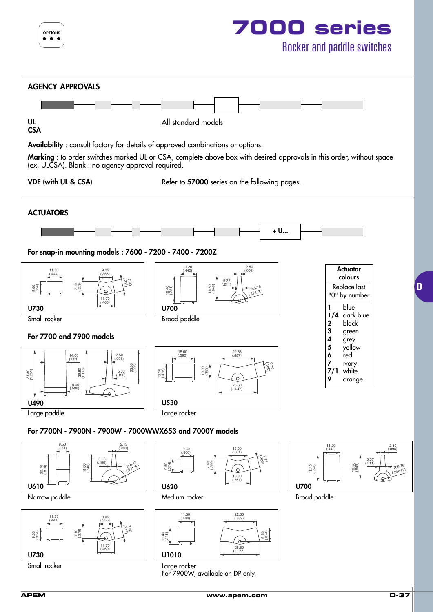

**APEM www.apem.com D-37**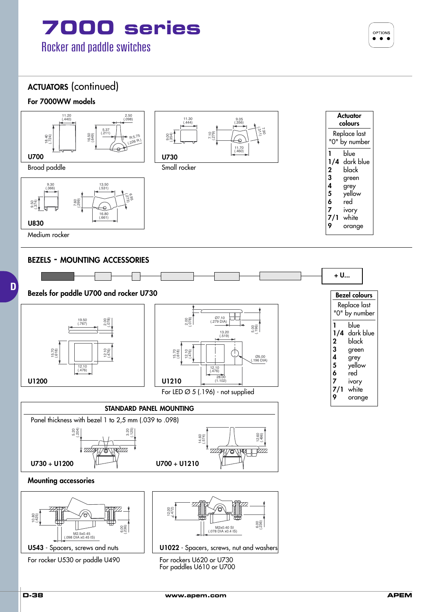

OPTIONS  $\bullet$